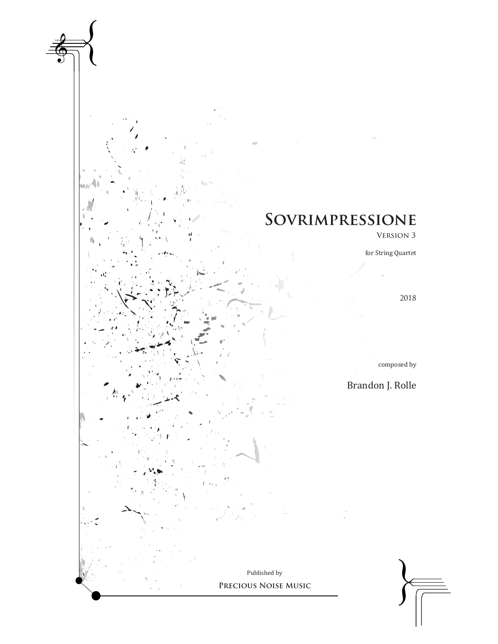Version 3

for String Quartet

2017 2018

composed by

Brandon J. Rolle

Published by { **Precious Noise Music**

 $\bm{\phi}$ 

 $\int$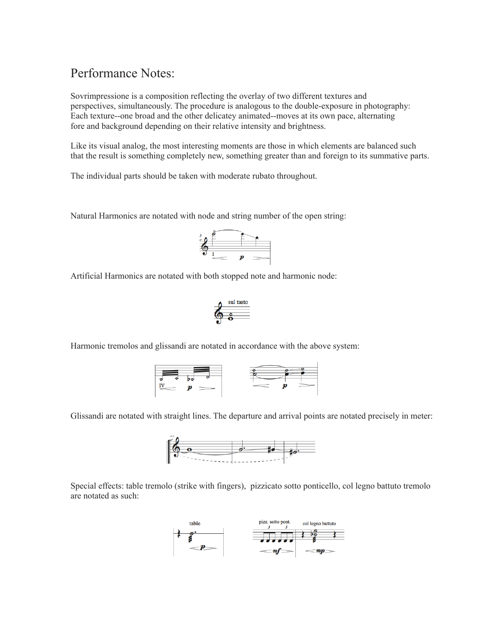### Performance Notes:

Sovrimpressione is a composition reflecting the overlay of two different textures and perspectives, simultaneously. The procedure is analogous to the double-exposure in photography: Each texture--one broad and the other delicatey animated--moves at its own pace, alternating fore and background depending on their relative intensity and brightness.

Like its visual analog, the most interesting moments are those in which elements are balanced such that the result is something completely new, something greater than and foreign to its summative parts.

The individual parts should be taken with moderate rubato throughout.

Natural Harmonics are notated with node and string number of the open string:



Artificial Harmonics are notated with both stopped note and harmonic node:



Harmonic tremolos and glissandi are notated in accordance with the above system:



Glissandi are notated with straight lines. The departure and arrival points are notated precisely in meter:



Special effects: table tremolo (strike with fingers), pizzicato sotto ponticello, col legno battuto tremolo are notated as such:

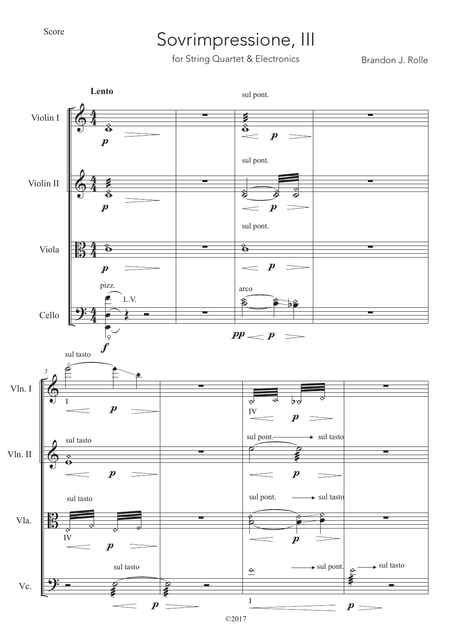# Sovrimpressione, III

for String Quartet & Electronics

Brandon J. Rolle

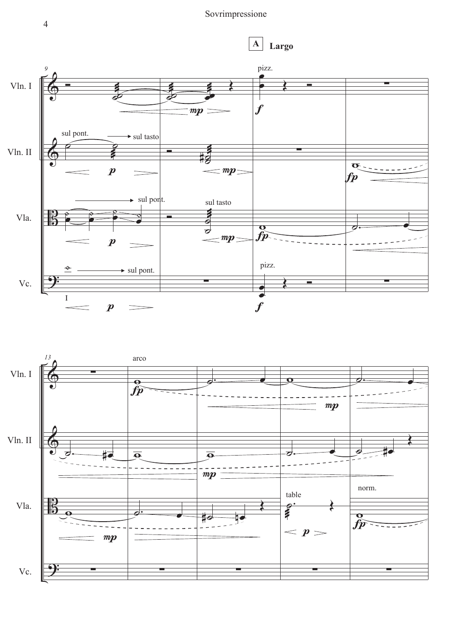



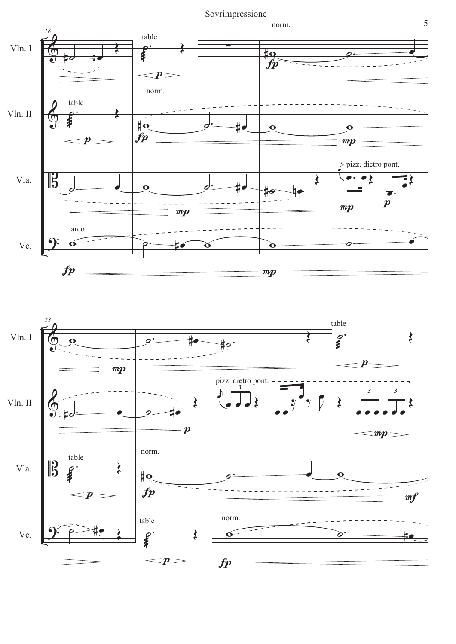Sovrimpressione



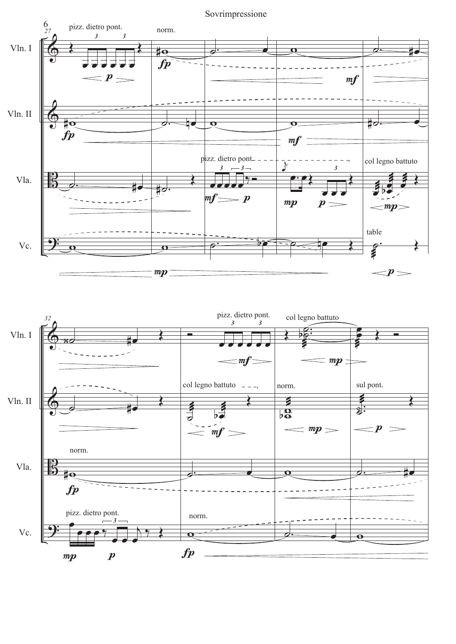

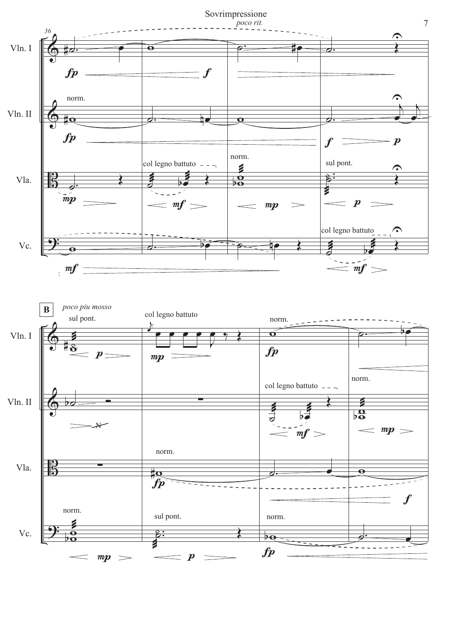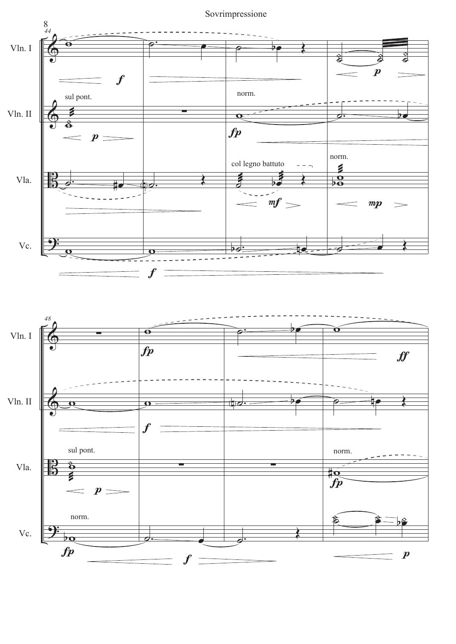



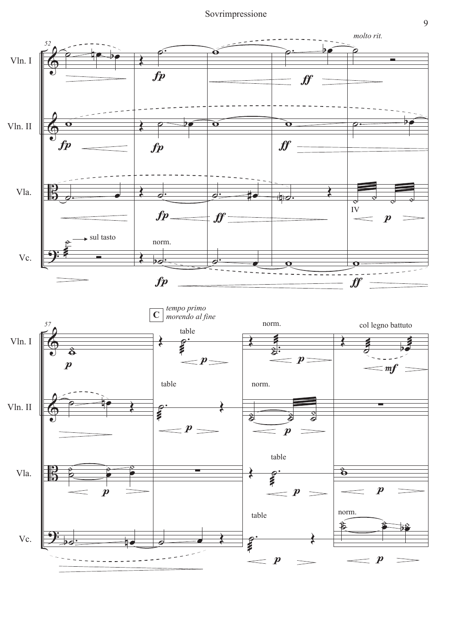